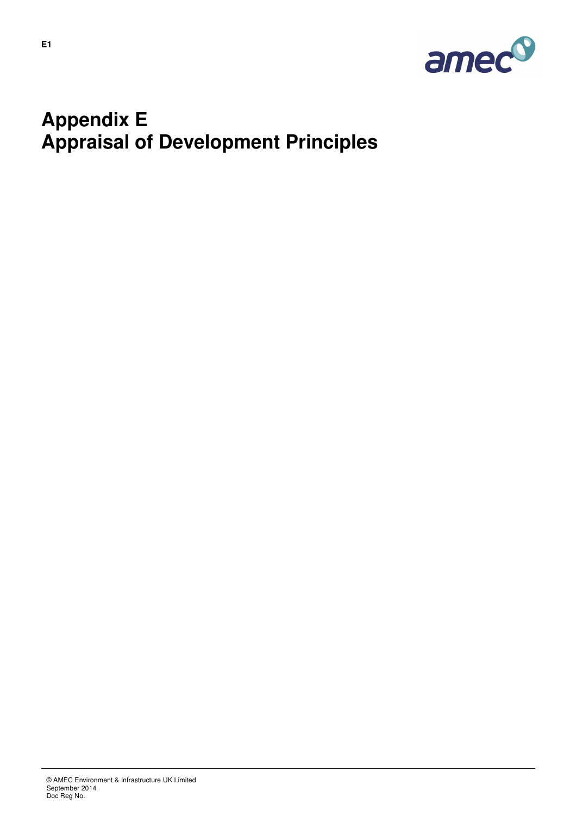

## **Appendix E Appraisal of Development Principles**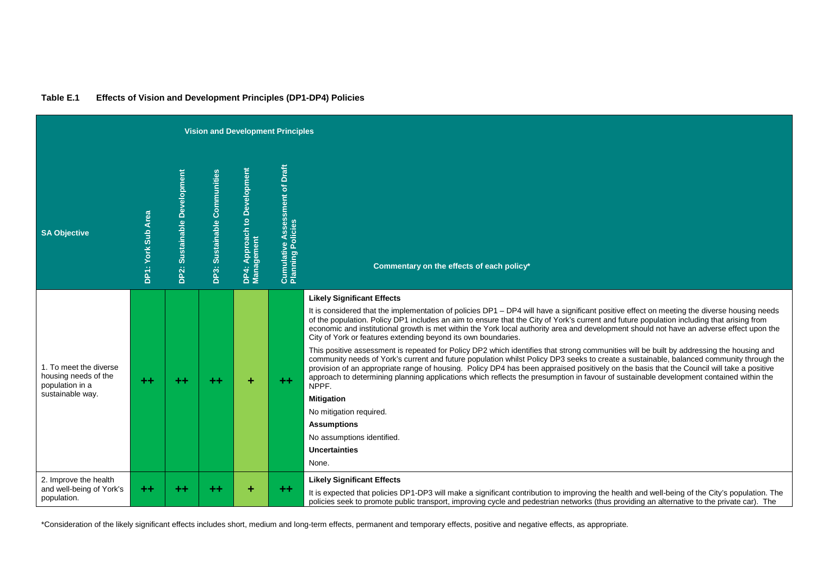## **Table E.1 Effects of Vision and Development Principles (DP1-DP4) Policies**

|                                                                                       |                    |                              |                              | <b>Vision and Development Principles</b>      |                                                     |                                                                                                                                                                                                                                                                                                                                                                                                                                                                                                                                                                                                                                                                                                                                                                                                                                                                                                                                                                                                                                                                                                                                                                                                                                                                        |
|---------------------------------------------------------------------------------------|--------------------|------------------------------|------------------------------|-----------------------------------------------|-----------------------------------------------------|------------------------------------------------------------------------------------------------------------------------------------------------------------------------------------------------------------------------------------------------------------------------------------------------------------------------------------------------------------------------------------------------------------------------------------------------------------------------------------------------------------------------------------------------------------------------------------------------------------------------------------------------------------------------------------------------------------------------------------------------------------------------------------------------------------------------------------------------------------------------------------------------------------------------------------------------------------------------------------------------------------------------------------------------------------------------------------------------------------------------------------------------------------------------------------------------------------------------------------------------------------------------|
| <b>SA Objective</b>                                                                   | DP1: York Sub Area | DP2: Sustainable Development | DP3: Sustainable Communities | Development<br>DP4: Approach to<br>Management | Cumulative Assessment of Draft<br>Planning Policies | Commentary on the effects of each policy*                                                                                                                                                                                                                                                                                                                                                                                                                                                                                                                                                                                                                                                                                                                                                                                                                                                                                                                                                                                                                                                                                                                                                                                                                              |
| 1. To meet the diverse<br>housing needs of the<br>population in a<br>sustainable way. | $++$               | $+ +$                        | $+ +$                        | ÷                                             | $+ +$                                               | <b>Likely Significant Effects</b><br>It is considered that the implementation of policies DP1 - DP4 will have a significant positive effect on meeting the diverse housing needs<br>of the population. Policy DP1 includes an aim to ensure that the City of York's current and future population including that arising from<br>economic and institutional growth is met within the York local authority area and development should not have an adverse effect upon the<br>City of York or features extending beyond its own boundaries.<br>This positive assessment is repeated for Policy DP2 which identifies that strong communities will be built by addressing the housing and<br>community needs of York's current and future population whilst Policy DP3 seeks to create a sustainable, balanced community through the<br>provision of an appropriate range of housing. Policy DP4 has been appraised positively on the basis that the Council will take a positive<br>approach to determining planning applications which reflects the presumption in favour of sustainable development contained within the<br>NPPF.<br><b>Mitigation</b><br>No mitigation required.<br><b>Assumptions</b><br>No assumptions identified.<br><b>Uncertainties</b><br>None. |
| 2. Improve the health<br>and well-being of York's<br>population.                      | $++$               | $+ +$                        | $+ +$                        | ٠                                             | $+ +$                                               | <b>Likely Significant Effects</b><br>It is expected that policies DP1-DP3 will make a significant contribution to improving the health and well-being of the City's population. The<br>policies seek to promote public transport, improving cycle and pedestrian networks (thus providing an alternative to the private car). The                                                                                                                                                                                                                                                                                                                                                                                                                                                                                                                                                                                                                                                                                                                                                                                                                                                                                                                                      |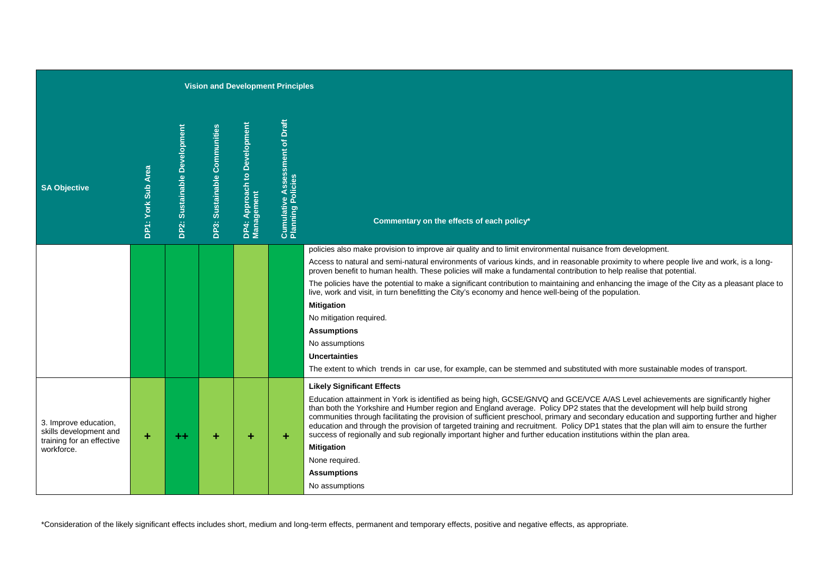|                                                                              |                    |                              |                              | <b>Vision and Development Principles</b>   |                                                        |                                                                                                                                                                                                                                                                                                                                                                                                                                                                                                                                                                                                                                                                                 |
|------------------------------------------------------------------------------|--------------------|------------------------------|------------------------------|--------------------------------------------|--------------------------------------------------------|---------------------------------------------------------------------------------------------------------------------------------------------------------------------------------------------------------------------------------------------------------------------------------------------------------------------------------------------------------------------------------------------------------------------------------------------------------------------------------------------------------------------------------------------------------------------------------------------------------------------------------------------------------------------------------|
| <b>SA Objective</b>                                                          | DP1: York Sub Area | DP2: Sustainable Development | DP3: Sustainable Communities | DP4: Approach to Development<br>Management | of Draft<br>Cumulative Assessment<br>Planning Policies | Commentary on the effects of each policy*                                                                                                                                                                                                                                                                                                                                                                                                                                                                                                                                                                                                                                       |
|                                                                              |                    |                              |                              |                                            |                                                        | policies also make provision to improve air quality and to limit environmental nuisance from development.                                                                                                                                                                                                                                                                                                                                                                                                                                                                                                                                                                       |
|                                                                              |                    |                              |                              |                                            |                                                        | Access to natural and semi-natural environments of various kinds, and in reasonable proximity to where people live and work, is a long-<br>proven benefit to human health. These policies will make a fundamental contribution to help realise that potential.                                                                                                                                                                                                                                                                                                                                                                                                                  |
|                                                                              |                    |                              |                              |                                            |                                                        | The policies have the potential to make a significant contribution to maintaining and enhancing the image of the City as a pleasant place to<br>live, work and visit, in turn benefitting the City's economy and hence well-being of the population.                                                                                                                                                                                                                                                                                                                                                                                                                            |
|                                                                              |                    |                              |                              |                                            |                                                        | <b>Mitigation</b>                                                                                                                                                                                                                                                                                                                                                                                                                                                                                                                                                                                                                                                               |
|                                                                              |                    |                              |                              |                                            |                                                        | No mitigation required.                                                                                                                                                                                                                                                                                                                                                                                                                                                                                                                                                                                                                                                         |
|                                                                              |                    |                              |                              |                                            |                                                        | <b>Assumptions</b>                                                                                                                                                                                                                                                                                                                                                                                                                                                                                                                                                                                                                                                              |
|                                                                              |                    |                              |                              |                                            |                                                        | No assumptions                                                                                                                                                                                                                                                                                                                                                                                                                                                                                                                                                                                                                                                                  |
|                                                                              |                    |                              |                              |                                            |                                                        | <b>Uncertainties</b>                                                                                                                                                                                                                                                                                                                                                                                                                                                                                                                                                                                                                                                            |
|                                                                              |                    |                              |                              |                                            |                                                        | The extent to which trends in car use, for example, can be stemmed and substituted with more sustainable modes of transport.                                                                                                                                                                                                                                                                                                                                                                                                                                                                                                                                                    |
|                                                                              |                    |                              |                              |                                            |                                                        | <b>Likely Significant Effects</b>                                                                                                                                                                                                                                                                                                                                                                                                                                                                                                                                                                                                                                               |
| 3. Improve education,<br>skills development and<br>training for an effective | ÷                  | ++                           | ÷                            | ٠                                          | ÷                                                      | Education attainment in York is identified as being high, GCSE/GNVQ and GCE/VCE A/AS Level achievements are significantly higher<br>than both the Yorkshire and Humber region and England average. Policy DP2 states that the development will help build strong<br>communities through facilitating the provision of sufficient preschool, primary and secondary education and supporting further and higher<br>education and through the provision of targeted training and recruitment. Policy DP1 states that the plan will aim to ensure the further<br>success of regionally and sub regionally important higher and further education institutions within the plan area. |
| workforce.                                                                   |                    |                              |                              |                                            |                                                        | <b>Mitigation</b>                                                                                                                                                                                                                                                                                                                                                                                                                                                                                                                                                                                                                                                               |
|                                                                              |                    |                              |                              |                                            |                                                        | None required.                                                                                                                                                                                                                                                                                                                                                                                                                                                                                                                                                                                                                                                                  |
|                                                                              |                    |                              |                              |                                            |                                                        | <b>Assumptions</b>                                                                                                                                                                                                                                                                                                                                                                                                                                                                                                                                                                                                                                                              |
|                                                                              |                    |                              |                              |                                            |                                                        | No assumptions                                                                                                                                                                                                                                                                                                                                                                                                                                                                                                                                                                                                                                                                  |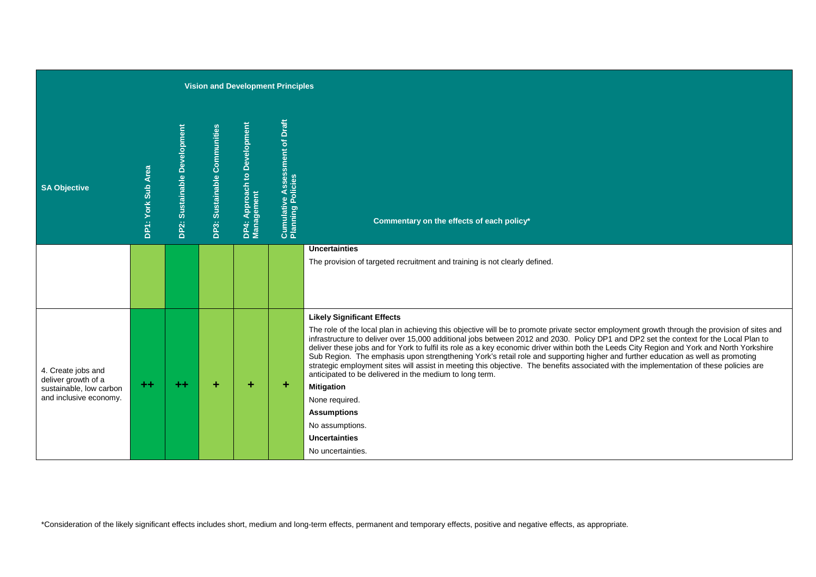|                                                                                                |                    |                              |                              | <b>Vision and Development Principles</b>   |                                                     |                                                                                                                                                                                                                                                                                                                                                                                                                                                                                                                                                                                                                                                                                                                                                                                                                                                                                                                                                 |
|------------------------------------------------------------------------------------------------|--------------------|------------------------------|------------------------------|--------------------------------------------|-----------------------------------------------------|-------------------------------------------------------------------------------------------------------------------------------------------------------------------------------------------------------------------------------------------------------------------------------------------------------------------------------------------------------------------------------------------------------------------------------------------------------------------------------------------------------------------------------------------------------------------------------------------------------------------------------------------------------------------------------------------------------------------------------------------------------------------------------------------------------------------------------------------------------------------------------------------------------------------------------------------------|
| <b>SA Objective</b>                                                                            | DP1: York Sub Area | DP2: Sustainable Development | DP3: Sustainable Communities | DP4: Approach to Development<br>Management | Cumulative Assessment of Draft<br>Planning Policies | Commentary on the effects of each policy*                                                                                                                                                                                                                                                                                                                                                                                                                                                                                                                                                                                                                                                                                                                                                                                                                                                                                                       |
|                                                                                                |                    |                              |                              |                                            |                                                     | <b>Uncertainties</b><br>The provision of targeted recruitment and training is not clearly defined.                                                                                                                                                                                                                                                                                                                                                                                                                                                                                                                                                                                                                                                                                                                                                                                                                                              |
| 4. Create jobs and<br>deliver growth of a<br>sustainable, low carbon<br>and inclusive economy. | $+ +$              | $+ +$                        |                              |                                            | ÷                                                   | <b>Likely Significant Effects</b><br>The role of the local plan in achieving this objective will be to promote private sector employment growth through the provision of sites and<br>infrastructure to deliver over 15,000 additional jobs between 2012 and 2030. Policy DP1 and DP2 set the context for the Local Plan to<br>deliver these jobs and for York to fulfil its role as a key economic driver within both the Leeds City Region and York and North Yorkshire<br>Sub Region. The emphasis upon strengthening York's retail role and supporting higher and further education as well as promoting<br>strategic employment sites will assist in meeting this objective. The benefits associated with the implementation of these policies are<br>anticipated to be delivered in the medium to long term.<br><b>Mitigation</b><br>None required.<br><b>Assumptions</b><br>No assumptions.<br><b>Uncertainties</b><br>No uncertainties. |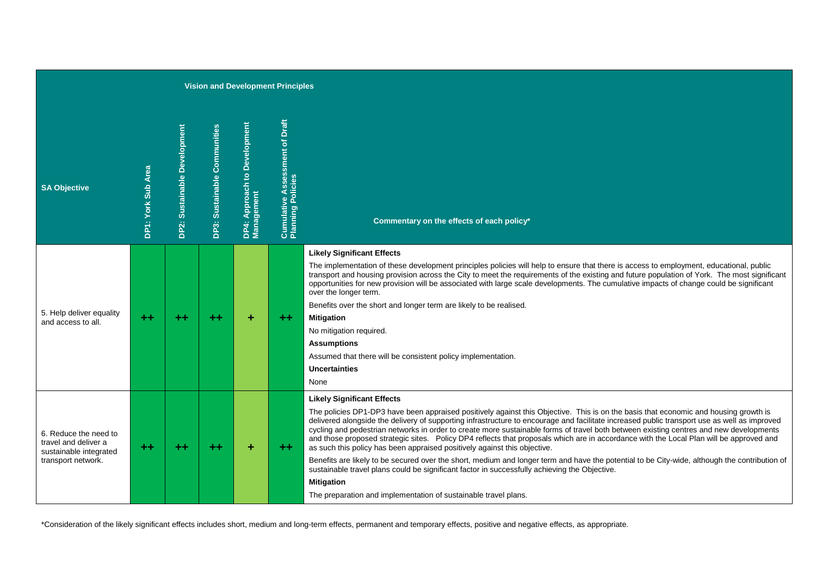| <b>Vision and Development Principles</b>                                                      |                    |                              |                              |                                                 |                                                     |                                                                                                                                                                                                                                                                                                                                                                                                                                                                                                                                                                                                                                                                                                                                                                                                                                                                                                                                                                                                                                       |  |  |  |  |
|-----------------------------------------------------------------------------------------------|--------------------|------------------------------|------------------------------|-------------------------------------------------|-----------------------------------------------------|---------------------------------------------------------------------------------------------------------------------------------------------------------------------------------------------------------------------------------------------------------------------------------------------------------------------------------------------------------------------------------------------------------------------------------------------------------------------------------------------------------------------------------------------------------------------------------------------------------------------------------------------------------------------------------------------------------------------------------------------------------------------------------------------------------------------------------------------------------------------------------------------------------------------------------------------------------------------------------------------------------------------------------------|--|--|--|--|
| <b>SA Objective</b>                                                                           | DP1: York Sub Area | DP2: Sustainable Development | DP3: Sustainable Communities | to Development<br>DP4: Approach t<br>Management | Cumulative Assessment of Draft<br>Planning Policies | Commentary on the effects of each policy*                                                                                                                                                                                                                                                                                                                                                                                                                                                                                                                                                                                                                                                                                                                                                                                                                                                                                                                                                                                             |  |  |  |  |
| 5. Help deliver equality<br>and access to all.                                                | $+ +$              | $++$                         | $+ +$                        | ÷                                               | $+ +$                                               | <b>Likely Significant Effects</b><br>The implementation of these development principles policies will help to ensure that there is access to employment, educational, public<br>transport and housing provision across the City to meet the requirements of the existing and future population of York. The most significant<br>opportunities for new provision will be associated with large scale developments. The cumulative impacts of change could be significant<br>over the longer term.<br>Benefits over the short and longer term are likely to be realised.<br><b>Mitigation</b><br>No mitigation required.<br><b>Assumptions</b><br>Assumed that there will be consistent policy implementation.<br><b>Uncertainties</b><br>None                                                                                                                                                                                                                                                                                          |  |  |  |  |
| 6. Reduce the need to<br>travel and deliver a<br>sustainable integrated<br>transport network. | $+ +$              | $+ +$                        | $^{\rm ++}$                  | ٠                                               | $+ +$                                               | <b>Likely Significant Effects</b><br>The policies DP1-DP3 have been appraised positively against this Objective. This is on the basis that economic and housing growth is<br>delivered alongside the delivery of supporting infrastructure to encourage and facilitate increased public transport use as well as improved<br>cycling and pedestrian networks in order to create more sustainable forms of travel both between existing centres and new developments<br>and those proposed strategic sites. Policy DP4 reflects that proposals which are in accordance with the Local Plan will be approved and<br>as such this policy has been appraised positively against this objective.<br>Benefits are likely to be secured over the short, medium and longer term and have the potential to be City-wide, although the contribution of<br>sustainable travel plans could be significant factor in successfully achieving the Objective.<br><b>Mitigation</b><br>The preparation and implementation of sustainable travel plans. |  |  |  |  |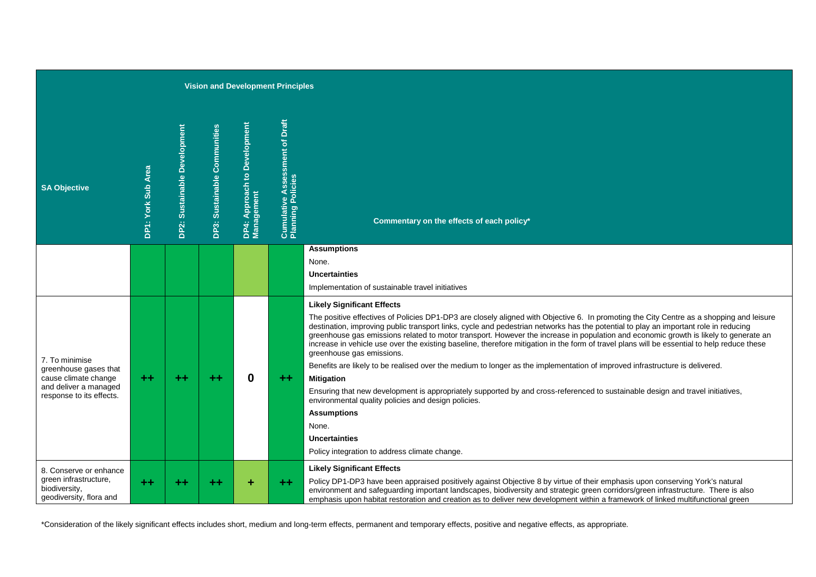|                                                                                                                      | <b>Vision and Development Principles</b> |                              |                              |                                            |                                                        |                                                                                                                                                                                                                                                                                                                                                                                                                                                                                                                                                                                                                                                                                                                                                                                                                                                                                                                                                                                                                                                                                                |  |  |  |  |
|----------------------------------------------------------------------------------------------------------------------|------------------------------------------|------------------------------|------------------------------|--------------------------------------------|--------------------------------------------------------|------------------------------------------------------------------------------------------------------------------------------------------------------------------------------------------------------------------------------------------------------------------------------------------------------------------------------------------------------------------------------------------------------------------------------------------------------------------------------------------------------------------------------------------------------------------------------------------------------------------------------------------------------------------------------------------------------------------------------------------------------------------------------------------------------------------------------------------------------------------------------------------------------------------------------------------------------------------------------------------------------------------------------------------------------------------------------------------------|--|--|--|--|
| <b>SA Objective</b>                                                                                                  | DP1: York Sub Area                       | DP2: Sustainable Development | DP3: Sustainable Communities | DP4: Approach to Development<br>Management | Draft<br>Cumulative Assessment of<br>Planning Policies | Commentary on the effects of each policy*                                                                                                                                                                                                                                                                                                                                                                                                                                                                                                                                                                                                                                                                                                                                                                                                                                                                                                                                                                                                                                                      |  |  |  |  |
|                                                                                                                      |                                          |                              |                              |                                            |                                                        | <b>Assumptions</b><br>None.<br><b>Uncertainties</b><br>Implementation of sustainable travel initiatives                                                                                                                                                                                                                                                                                                                                                                                                                                                                                                                                                                                                                                                                                                                                                                                                                                                                                                                                                                                        |  |  |  |  |
| 7. To minimise<br>greenhouse gases that<br>cause climate change<br>and deliver a managed<br>response to its effects. | $++$                                     | $++$                         | $+ +$                        | 0                                          | $+ +$                                                  | <b>Likely Significant Effects</b><br>The positive effectives of Policies DP1-DP3 are closely aligned with Objective 6. In promoting the City Centre as a shopping and leisure<br>destination, improving public transport links, cycle and pedestrian networks has the potential to play an important role in reducing<br>greenhouse gas emissions related to motor transport. However the increase in population and economic growth is likely to generate an<br>increase in vehicle use over the existing baseline, therefore mitigation in the form of travel plans will be essential to help reduce these<br>greenhouse gas emissions.<br>Benefits are likely to be realised over the medium to longer as the implementation of improved infrastructure is delivered.<br><b>Mitigation</b><br>Ensuring that new development is appropriately supported by and cross-referenced to sustainable design and travel initiatives,<br>environmental quality policies and design policies.<br><b>Assumptions</b><br>None.<br><b>Uncertainties</b><br>Policy integration to address climate change. |  |  |  |  |
| 8. Conserve or enhance<br>green infrastructure,<br>biodiversity,<br>geodiversity, flora and                          | $++$                                     | ++                           | ++                           |                                            | ++                                                     | <b>Likely Significant Effects</b><br>Policy DP1-DP3 have been appraised positively against Objective 8 by virtue of their emphasis upon conserving York's natural<br>environment and safeguarding important landscapes, biodiversity and strategic green corridors/green infrastructure. There is also<br>emphasis upon habitat restoration and creation as to deliver new development within a framework of linked multifunctional green                                                                                                                                                                                                                                                                                                                                                                                                                                                                                                                                                                                                                                                      |  |  |  |  |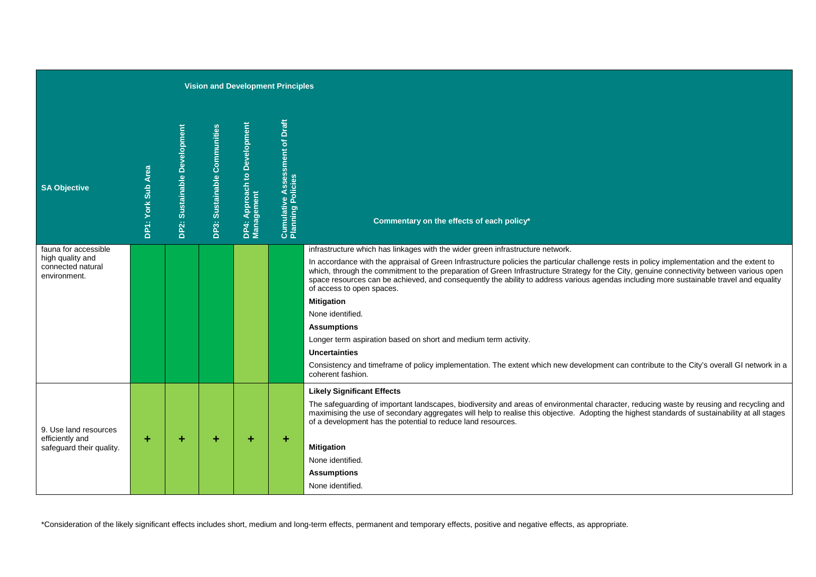|                                                                               |                    |                              |                              | <b>Vision and Development Principles</b>   |                                                     |                                                                                                                                                                                                                                                                                                                                                                                                                                                                                                                                                                                                                                                                                                                                                                                                                                                                                |
|-------------------------------------------------------------------------------|--------------------|------------------------------|------------------------------|--------------------------------------------|-----------------------------------------------------|--------------------------------------------------------------------------------------------------------------------------------------------------------------------------------------------------------------------------------------------------------------------------------------------------------------------------------------------------------------------------------------------------------------------------------------------------------------------------------------------------------------------------------------------------------------------------------------------------------------------------------------------------------------------------------------------------------------------------------------------------------------------------------------------------------------------------------------------------------------------------------|
| <b>SA Objective</b>                                                           | DP1: York Sub Area | DP2: Sustainable Development | DP3: Sustainable Communities | DP4: Approach to Development<br>Management | Cumulative Assessment of Draft<br>Planning Policies | Commentary on the effects of each policy*                                                                                                                                                                                                                                                                                                                                                                                                                                                                                                                                                                                                                                                                                                                                                                                                                                      |
| fauna for accessible<br>high quality and<br>connected natural<br>environment. |                    |                              |                              |                                            |                                                     | infrastructure which has linkages with the wider green infrastructure network.<br>In accordance with the appraisal of Green Infrastructure policies the particular challenge rests in policy implementation and the extent to<br>which, through the commitment to the preparation of Green Infrastructure Strategy for the City, genuine connectivity between various open<br>space resources can be achieved, and consequently the ability to address various agendas including more sustainable travel and equality<br>of access to open spaces.<br><b>Mitigation</b><br>None identified.<br><b>Assumptions</b><br>Longer term aspiration based on short and medium term activity.<br><b>Uncertainties</b><br>Consistency and timeframe of policy implementation. The extent which new development can contribute to the City's overall GI network in a<br>coherent fashion. |
| 9. Use land resources<br>efficiently and<br>safeguard their quality.          | ٠                  | ÷                            | ٠                            | ٠                                          | ÷                                                   | <b>Likely Significant Effects</b><br>The safeguarding of important landscapes, biodiversity and areas of environmental character, reducing waste by reusing and recycling and<br>maximising the use of secondary aggregates will help to realise this objective. Adopting the highest standards of sustainability at all stages<br>of a development has the potential to reduce land resources.<br><b>Mitigation</b><br>None identified.<br><b>Assumptions</b><br>None identified.                                                                                                                                                                                                                                                                                                                                                                                             |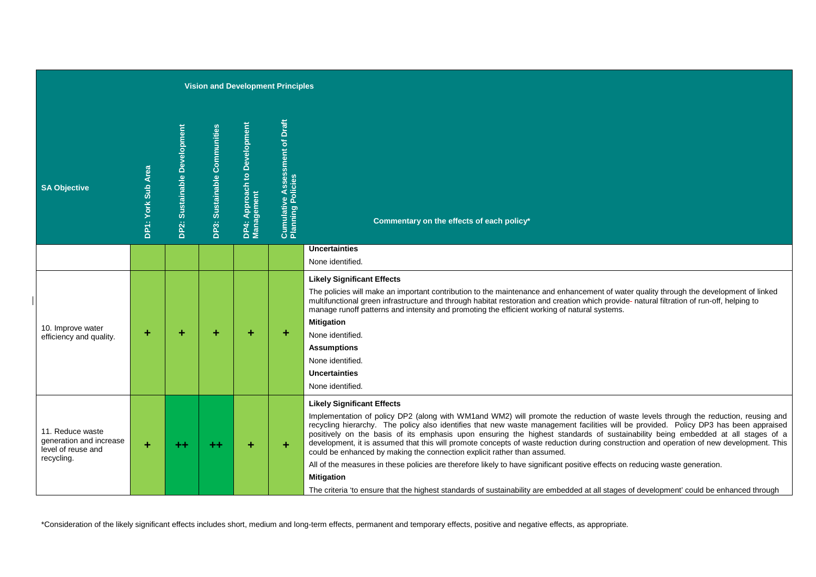|                                                                                 |                    |                              |                              |                                            | <b>Vision and Development Principles</b>            |                                                                                                                                                                                                                                                                                                                                                                                                                                                                                                                                                                                                                                                                                                                                                                                                                                                                                                                                                                               |
|---------------------------------------------------------------------------------|--------------------|------------------------------|------------------------------|--------------------------------------------|-----------------------------------------------------|-------------------------------------------------------------------------------------------------------------------------------------------------------------------------------------------------------------------------------------------------------------------------------------------------------------------------------------------------------------------------------------------------------------------------------------------------------------------------------------------------------------------------------------------------------------------------------------------------------------------------------------------------------------------------------------------------------------------------------------------------------------------------------------------------------------------------------------------------------------------------------------------------------------------------------------------------------------------------------|
| <b>SA Objective</b>                                                             | DP1: York Sub Area | DP2: Sustainable Development | DP3: Sustainable Communities | DP4: Approach to Development<br>Management | Cumulative Assessment of Draft<br>Planning Policies | Commentary on the effects of each policy*                                                                                                                                                                                                                                                                                                                                                                                                                                                                                                                                                                                                                                                                                                                                                                                                                                                                                                                                     |
|                                                                                 |                    |                              |                              |                                            |                                                     | <b>Uncertainties</b><br>None identified.                                                                                                                                                                                                                                                                                                                                                                                                                                                                                                                                                                                                                                                                                                                                                                                                                                                                                                                                      |
| 10. Improve water<br>efficiency and quality.                                    | ٠                  | ٠                            | ٠                            | ÷                                          | ÷                                                   | <b>Likely Significant Effects</b><br>The policies will make an important contribution to the maintenance and enhancement of water quality through the development of linked<br>multifunctional green infrastructure and through habitat restoration and creation which provide-natural filtration of run-off, helping to<br>manage runoff patterns and intensity and promoting the efficient working of natural systems.<br><b>Mitigation</b><br>None identified.<br><b>Assumptions</b><br>None identified.<br><b>Uncertainties</b><br>None identified.                                                                                                                                                                                                                                                                                                                                                                                                                       |
| 11. Reduce waste<br>generation and increase<br>level of reuse and<br>recycling. | ÷                  | $^{++}$                      | $+ +$                        | ÷                                          | ÷                                                   | <b>Likely Significant Effects</b><br>Implementation of policy DP2 (along with WM1and WM2) will promote the reduction of waste levels through the reduction, reusing and<br>recycling hierarchy. The policy also identifies that new waste management facilities will be provided. Policy DP3 has been appraised<br>positively on the basis of its emphasis upon ensuring the highest standards of sustainability being embedded at all stages of a<br>development, it is assumed that this will promote concepts of waste reduction during construction and operation of new development. This<br>could be enhanced by making the connection explicit rather than assumed.<br>All of the measures in these policies are therefore likely to have significant positive effects on reducing waste generation.<br><b>Mitigation</b><br>The criteria 'to ensure that the highest standards of sustainability are embedded at all stages of development' could be enhanced through |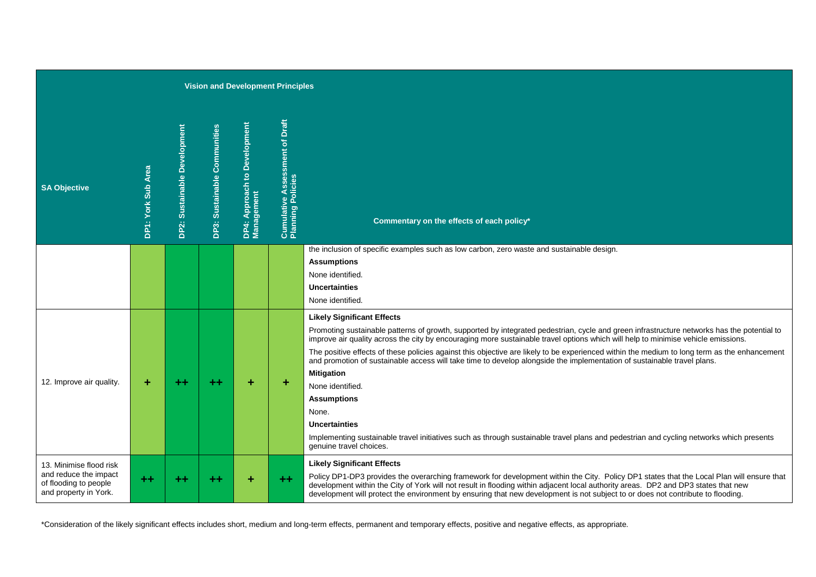|                                                                                                    |                    |                              |                              | <b>Vision and Development Principles</b>   |                                                     |                                                                                                                                                                                                                                                                                                                                                                                                                                                                                                                                                                                                                                                                                                                                                                                                                                                                       |
|----------------------------------------------------------------------------------------------------|--------------------|------------------------------|------------------------------|--------------------------------------------|-----------------------------------------------------|-----------------------------------------------------------------------------------------------------------------------------------------------------------------------------------------------------------------------------------------------------------------------------------------------------------------------------------------------------------------------------------------------------------------------------------------------------------------------------------------------------------------------------------------------------------------------------------------------------------------------------------------------------------------------------------------------------------------------------------------------------------------------------------------------------------------------------------------------------------------------|
| <b>SA Objective</b>                                                                                | DP1: York Sub Area | DP2: Sustainable Development | DP3: Sustainable Communities | DP4: Approach to Development<br>Management | Cumulative Assessment of Draft<br>Planning Policies | Commentary on the effects of each policy*                                                                                                                                                                                                                                                                                                                                                                                                                                                                                                                                                                                                                                                                                                                                                                                                                             |
|                                                                                                    |                    |                              |                              |                                            |                                                     | the inclusion of specific examples such as low carbon, zero waste and sustainable design.<br><b>Assumptions</b><br>None identified.<br><b>Uncertainties</b><br>None identified.                                                                                                                                                                                                                                                                                                                                                                                                                                                                                                                                                                                                                                                                                       |
| 12. Improve air quality.                                                                           | ÷                  | $+ +$                        | $^{\tiny{++}}$               | ÷                                          | ÷                                                   | <b>Likely Significant Effects</b><br>Promoting sustainable patterns of growth, supported by integrated pedestrian, cycle and green infrastructure networks has the potential to<br>improve air quality across the city by encouraging more sustainable travel options which will help to minimise vehicle emissions.<br>The positive effects of these policies against this objective are likely to be experienced within the medium to long term as the enhancement<br>and promotion of sustainable access will take time to develop alongside the implementation of sustainable travel plans.<br><b>Mitigation</b><br>None identified.<br><b>Assumptions</b><br>None.<br><b>Uncertainties</b><br>Implementing sustainable travel initiatives such as through sustainable travel plans and pedestrian and cycling networks which presents<br>genuine travel choices. |
| 13. Minimise flood risk<br>and reduce the impact<br>of flooding to people<br>and property in York. | $+ +$              | $^{\tiny{++}}$               | $^{\tiny{++}}$               |                                            | $++$                                                | <b>Likely Significant Effects</b><br>Policy DP1-DP3 provides the overarching framework for development within the City. Policy DP1 states that the Local Plan will ensure that<br>development within the City of York will not result in flooding within adjacent local authority areas. DP2 and DP3 states that new<br>development will protect the environment by ensuring that new development is not subject to or does not contribute to flooding.                                                                                                                                                                                                                                                                                                                                                                                                               |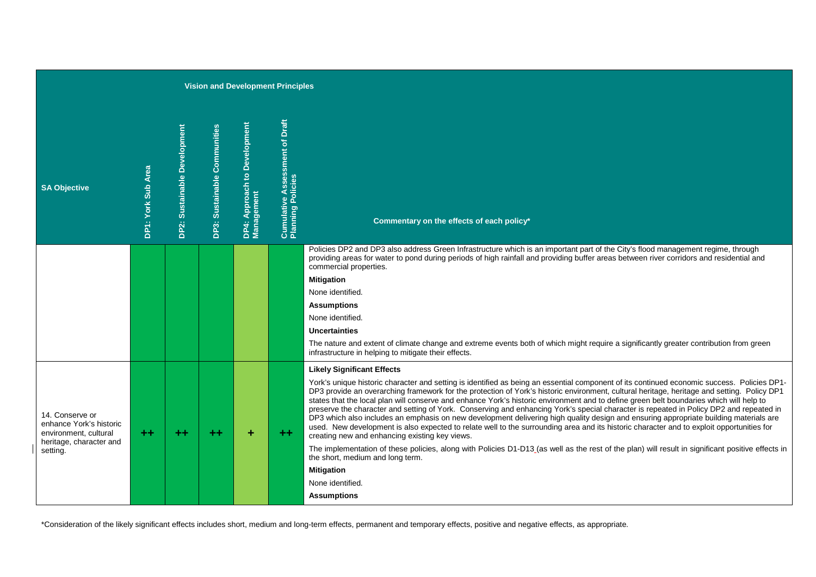|                                                                                                            |                    |                              |                              | <b>Vision and Development Principles</b>   |                                                                    |                                                                                                                                                                                                                                                                                                                                                                                                                                                                                                                                                                                                                                                                                                                                                                                                                                                                                                                                                                                                                                                                                                                                                                                                                       |
|------------------------------------------------------------------------------------------------------------|--------------------|------------------------------|------------------------------|--------------------------------------------|--------------------------------------------------------------------|-----------------------------------------------------------------------------------------------------------------------------------------------------------------------------------------------------------------------------------------------------------------------------------------------------------------------------------------------------------------------------------------------------------------------------------------------------------------------------------------------------------------------------------------------------------------------------------------------------------------------------------------------------------------------------------------------------------------------------------------------------------------------------------------------------------------------------------------------------------------------------------------------------------------------------------------------------------------------------------------------------------------------------------------------------------------------------------------------------------------------------------------------------------------------------------------------------------------------|
| <b>SA Objective</b>                                                                                        | DP1: York Sub Area | DP2: Sustainable Development | DP3: Sustainable Communities | DP4: Approach to Development<br>Management | Draft<br>৳<br>e Assessment<br>olicies<br>Cumulative<br>Planning Po | Commentary on the effects of each policy*                                                                                                                                                                                                                                                                                                                                                                                                                                                                                                                                                                                                                                                                                                                                                                                                                                                                                                                                                                                                                                                                                                                                                                             |
|                                                                                                            |                    |                              |                              |                                            |                                                                    | Policies DP2 and DP3 also address Green Infrastructure which is an important part of the City's flood management regime, through<br>providing areas for water to pond during periods of high rainfall and providing buffer areas between river corridors and residential and<br>commercial properties.<br><b>Mitigation</b><br>None identified.<br><b>Assumptions</b><br>None identified.<br><b>Uncertainties</b><br>The nature and extent of climate change and extreme events both of which might require a significantly greater contribution from green<br>infrastructure in helping to mitigate their effects.                                                                                                                                                                                                                                                                                                                                                                                                                                                                                                                                                                                                   |
| 14. Conserve or<br>enhance York's historic<br>environment, cultural<br>heritage, character and<br>setting. | $++$               | $+ +$                        | $^{++}$                      | ÷                                          | $+ +$                                                              | <b>Likely Significant Effects</b><br>York's unique historic character and setting is identified as being an essential component of its continued economic success. Policies DP1-<br>DP3 provide an overarching framework for the protection of York's historic environment, cultural heritage, heritage and setting. Policy DP1<br>states that the local plan will conserve and enhance York's historic environment and to define green belt boundaries which will help to<br>preserve the character and setting of York. Conserving and enhancing York's special character is repeated in Policy DP2 and repeated in<br>DP3 which also includes an emphasis on new development delivering high quality design and ensuring appropriate building materials are<br>used. New development is also expected to relate well to the surrounding area and its historic character and to exploit opportunities for<br>creating new and enhancing existing key views.<br>The implementation of these policies, along with Policies D1-D13 (as well as the rest of the plan) will result in significant positive effects in<br>the short, medium and long term.<br><b>Mitigation</b><br>None identified.<br><b>Assumptions</b> |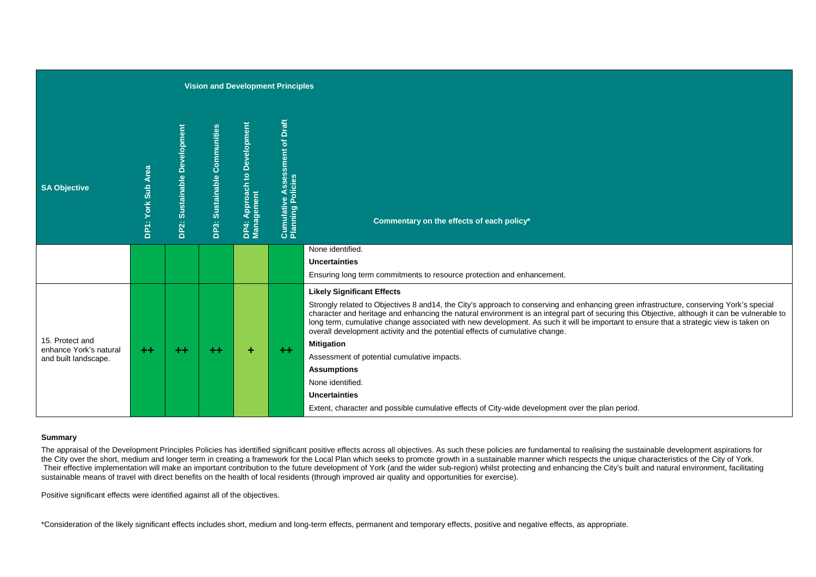|                                                                   |                    |                              |                              | <b>Vision and Development Principles</b>   |                                                     |                                                                                                                                                                                                                                                                                                                                                                                                                                                                                                                                                                                                                                                                                                                                                                                                    |
|-------------------------------------------------------------------|--------------------|------------------------------|------------------------------|--------------------------------------------|-----------------------------------------------------|----------------------------------------------------------------------------------------------------------------------------------------------------------------------------------------------------------------------------------------------------------------------------------------------------------------------------------------------------------------------------------------------------------------------------------------------------------------------------------------------------------------------------------------------------------------------------------------------------------------------------------------------------------------------------------------------------------------------------------------------------------------------------------------------------|
| <b>SA Objective</b>                                               | DP1: York Sub Area | DP2: Sustainable Development | DP3: Sustainable Communities | DP4: Approach to Development<br>Management | Cumulative Assessment of Draft<br>Planning Policies | Commentary on the effects of each policy*                                                                                                                                                                                                                                                                                                                                                                                                                                                                                                                                                                                                                                                                                                                                                          |
|                                                                   |                    |                              |                              |                                            |                                                     | None identified.<br><b>Uncertainties</b><br>Ensuring long term commitments to resource protection and enhancement.                                                                                                                                                                                                                                                                                                                                                                                                                                                                                                                                                                                                                                                                                 |
| 15. Protect and<br>enhance York's natural<br>and built landscape. | $+ +$              | $++$                         | $+ +$                        | ٠                                          | $+ +$                                               | <b>Likely Significant Effects</b><br>Strongly related to Objectives 8 and 14, the City's approach to conserving and enhancing green infrastructure, conserving York's special<br>character and heritage and enhancing the natural environment is an integral part of securing this Objective, although it can be vulnerable to<br>long term, cumulative change associated with new development. As such it will be important to ensure that a strategic view is taken on<br>overall development activity and the potential effects of cumulative change.<br><b>Mitigation</b><br>Assessment of potential cumulative impacts.<br><b>Assumptions</b><br>None identified.<br><b>Uncertainties</b><br>Extent, character and possible cumulative effects of City-wide development over the plan period. |

## **Summary**

The appraisal of the Development Principles Policies has identified significant positive effects across all objectives. As such these policies are fundamental to realising the sustainable development aspirations for the City over the short, medium and longer term in creating a framework for the Local Plan which seeks to promote growth in a sustainable manner which respects the unique characteristics of the City of York. Their effective implementation will make an important contribution to the future development of York (and the wider sub-region) whilst protecting and enhancing the City's built and natural environment, facilitating sustainable means of travel with direct benefits on the health of local residents (through improved air quality and opportunities for exercise).

Positive significant effects were identified against all of the objectives.